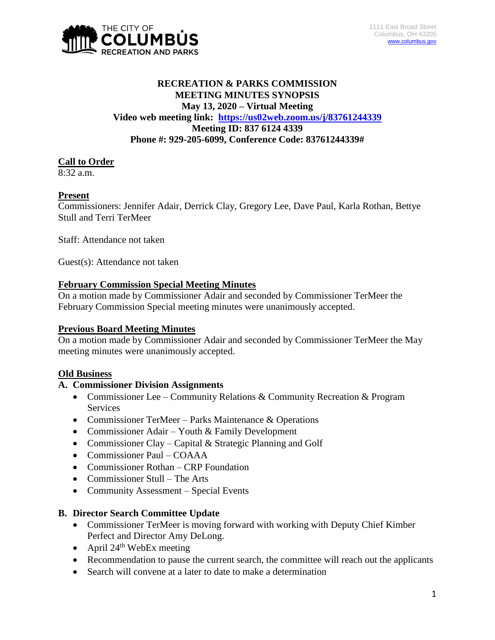

# **RECREATION & PARKS COMMISSION MEETING MINUTES SYNOPSIS May 13, 2020 – Virtual Meeting Video web meeting link: <https://us02web.zoom.us/j/83761244339> Meeting ID: 837 6124 4339 Phone #: 929-205-6099, Conference Code: 83761244339#**

## **Call to Order**

 $8:32 a.m.$ 

## **Present**

Commissioners: Jennifer Adair, Derrick Clay, Gregory Lee, Dave Paul, Karla Rothan, Bettye Stull and Terri TerMeer

Staff: Attendance not taken

Guest(s): Attendance not taken

## **February Commission Special Meeting Minutes**

On a motion made by Commissioner Adair and seconded by Commissioner TerMeer the February Commission Special meeting minutes were unanimously accepted.

## **Previous Board Meeting Minutes**

On a motion made by Commissioner Adair and seconded by Commissioner TerMeer the May meeting minutes were unanimously accepted.

## **Old Business**

## **A. Commissioner Division Assignments**

- Commissioner Lee Community Relations & Community Recreation & Program **Services**
- Commissioner TerMeer Parks Maintenance & Operations
- Commissioner Adair Youth & Family Development
- Commissioner Clay Capital & Strategic Planning and Golf
- Commissioner Paul COAAA
- Commissioner Rothan CRP Foundation
- Commissioner Stull The Arts
- Community Assessment Special Events

## **B. Director Search Committee Update**

- Commissioner TerMeer is moving forward with working with Deputy Chief Kimber Perfect and Director Amy DeLong.
- April  $24<sup>th</sup>$  WebEx meeting
- Recommendation to pause the current search, the committee will reach out the applicants
- Search will convene at a later to date to make a determination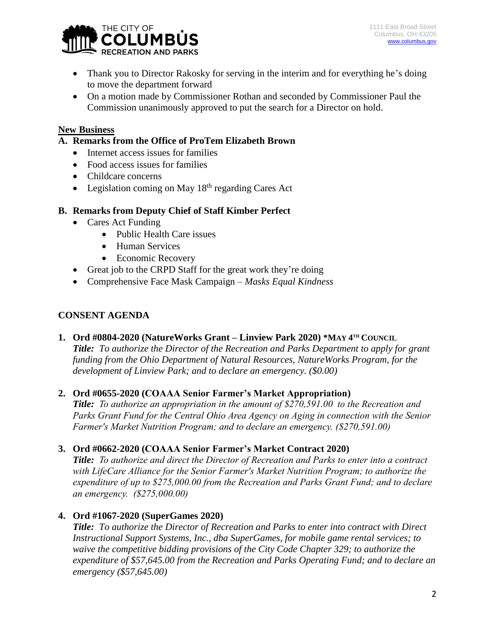

- Thank you to Director Rakosky for serving in the interim and for everything he's doing to move the department forward
- On a motion made by Commissioner Rothan and seconded by Commissioner Paul the Commission unanimously approved to put the search for a Director on hold.

## **New Business**

## **A. Remarks from the Office of ProTem Elizabeth Brown**

- Internet access issues for families
- Food access issues for families
- Childcare concerns
- Legislation coming on May  $18<sup>th</sup>$  regarding Cares Act

## **B. Remarks from Deputy Chief of Staff Kimber Perfect**

- Cares Act Funding
	- Public Health Care issues
	- Human Services
	- Economic Recovery
- Great job to the CRPD Staff for the great work they're doing
- Comprehensive Face Mask Campaign *Masks Equal Kindness*

## **CONSENT AGENDA**

## **1. Ord #0804-2020 (NatureWorks Grant – Linview Park 2020) \*MAY 4 TH COUNCIL**

*Title: To authorize the Director of the Recreation and Parks Department to apply for grant funding from the Ohio Department of Natural Resources, NatureWorks Program, for the development of Linview Park; and to declare an emergency. (\$0.00)*

## **2. Ord #0655-2020 (COAAA Senior Farmer's Market Appropriation)**

*Title: To authorize an appropriation in the amount of \$270,591.00 to the Recreation and Parks Grant Fund for the Central Ohio Area Agency on Aging in connection with the Senior Farmer's Market Nutrition Program; and to declare an emergency. (\$270,591.00)*

## **3. Ord #0662-2020 (COAAA Senior Farmer's Market Contract 2020)**

*Title: To authorize and direct the Director of Recreation and Parks to enter into a contract with LifeCare Alliance for the Senior Farmer's Market Nutrition Program; to authorize the expenditure of up to \$275,000.00 from the Recreation and Parks Grant Fund; and to declare an emergency. (\$275,000.00)*

# **4. Ord #1067-2020 (SuperGames 2020)**

*Title: To authorize the Director of Recreation and Parks to enter into contract with Direct Instructional Support Systems, Inc., dba SuperGames, for mobile game rental services; to waive the competitive bidding provisions of the City Code Chapter 329; to authorize the expenditure of \$57,645.00 from the Recreation and Parks Operating Fund; and to declare an emergency (\$57,645.00)*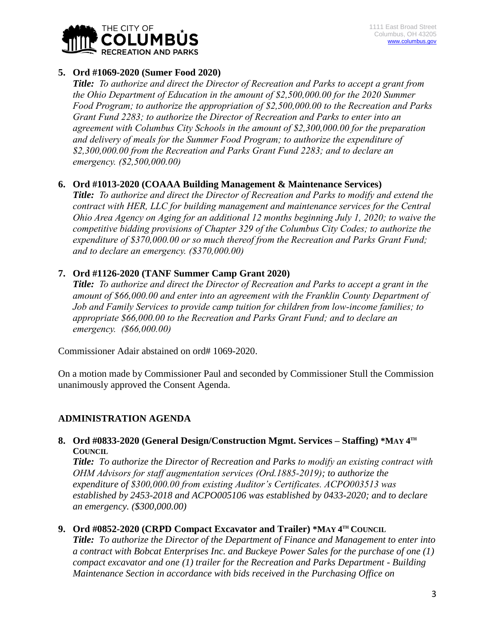

## **5. Ord #1069-2020 (Sumer Food 2020)**

*Title: To authorize and direct the Director of Recreation and Parks to accept a grant from the Ohio Department of Education in the amount of \$2,500,000.00 for the 2020 Summer Food Program; to authorize the appropriation of \$2,500,000.00 to the Recreation and Parks Grant Fund 2283; to authorize the Director of Recreation and Parks to enter into an agreement with Columbus City Schools in the amount of \$2,300,000.00 for the preparation and delivery of meals for the Summer Food Program; to authorize the expenditure of \$2,300,000.00 from the Recreation and Parks Grant Fund 2283; and to declare an emergency. (\$2,500,000.00)*

## **6. Ord #1013-2020 (COAAA Building Management & Maintenance Services)**

*Title: To authorize and direct the Director of Recreation and Parks to modify and extend the contract with HER, LLC for building management and maintenance services for the Central Ohio Area Agency on Aging for an additional 12 months beginning July 1, 2020; to waive the competitive bidding provisions of Chapter 329 of the Columbus City Codes; to authorize the expenditure of \$370,000.00 or so much thereof from the Recreation and Parks Grant Fund; and to declare an emergency. (\$370,000.00)*

# **7. Ord #1126-2020 (TANF Summer Camp Grant 2020)**

*Title: To authorize and direct the Director of Recreation and Parks to accept a grant in the amount of \$66,000.00 and enter into an agreement with the Franklin County Department of Job and Family Services to provide camp tuition for children from low-income families; to appropriate \$66,000.00 to the Recreation and Parks Grant Fund; and to declare an emergency. (\$66,000.00)*

Commissioner Adair abstained on ord# 1069-2020.

On a motion made by Commissioner Paul and seconded by Commissioner Stull the Commission unanimously approved the Consent Agenda.

## **ADMINISTRATION AGENDA**

## **8. Ord #0833-2020 (General Design/Construction Mgmt. Services – Staffing) \*MAY 4 TH COUNCIL**

*Title: To authorize the Director of Recreation and Parks to modify an existing contract with OHM Advisors for staff augmentation services (Ord.1885-2019); to authorize the expenditure of \$300,000.00 from existing Auditor's Certificates. ACPO003513 was established by 2453-2018 and ACPO005106 was established by 0433-2020; and to declare an emergency. (\$300,000.00)*

## **9.** Ord #0852-2020 (CRPD Compact Excavator and Trailer) \*MAY 4TH COUNCIL

*Title: To authorize the Director of the Department of Finance and Management to enter into a contract with Bobcat Enterprises Inc. and Buckeye Power Sales for the purchase of one (1) compact excavator and one (1) trailer for the Recreation and Parks Department - Building Maintenance Section in accordance with bids received in the Purchasing Office on*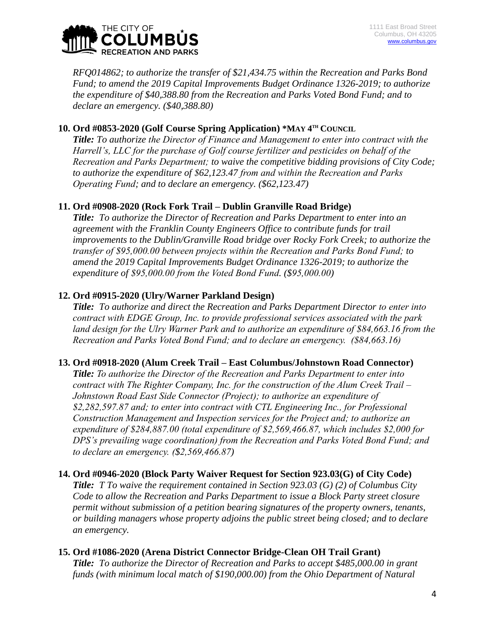

*RFQ014862; to authorize the transfer of \$21,434.75 within the Recreation and Parks Bond Fund; to amend the 2019 Capital Improvements Budget Ordinance 1326-2019; to authorize the expenditure of \$40,388.80 from the Recreation and Parks Voted Bond Fund; and to declare an emergency. (\$40,388.80)*

## **10.** Ord #0853-2020 (Golf Course Spring Application) \*MAY  $4^{\text{th}}$  COUNCIL

*Title: To authorize the Director of Finance and Management to enter into contract with the Harrell's, LLC for the purchase of Golf course fertilizer and pesticides on behalf of the Recreation and Parks Department; to waive the competitive bidding provisions of City Code; to authorize the expenditure of \$62,123.47 from and within the Recreation and Parks Operating Fund; and to declare an emergency. (\$62,123.47)*

## **11. Ord #0908-2020 (Rock Fork Trail – Dublin Granville Road Bridge)**

*Title: To authorize the Director of Recreation and Parks Department to enter into an agreement with the Franklin County Engineers Office to contribute funds for trail improvements to the Dublin/Granville Road bridge over Rocky Fork Creek; to authorize the transfer of \$95,000.00 between projects within the Recreation and Parks Bond Fund; to amend the 2019 Capital Improvements Budget Ordinance 1326-2019; to authorize the expenditure of \$95,000.00 from the Voted Bond Fund. (\$95,000.00)*

## **12. Ord #0915-2020 (Ulry/Warner Parkland Design)**

*Title: To authorize and direct the Recreation and Parks Department Director to enter into contract with EDGE Group, Inc. to provide professional services associated with the park land design for the Ulry Warner Park and to authorize an expenditure of \$84,663.16 from the Recreation and Parks Voted Bond Fund; and to declare an emergency. (\$84,663.16)*

## **13. Ord #0918-2020 (Alum Creek Trail – East Columbus/Johnstown Road Connector)**

*Title: To authorize the Director of the Recreation and Parks Department to enter into contract with The Righter Company, Inc. for the construction of the Alum Creek Trail – Johnstown Road East Side Connector (Project); to authorize an expenditure of \$2,282,597.87 and; to enter into contract with CTL Engineering Inc., for Professional Construction Management and Inspection services for the Project and; to authorize an expenditure of \$284,887.00 (total expenditure of \$2,569,466.87, which includes \$2,000 for DPS's prevailing wage coordination) from the Recreation and Parks Voted Bond Fund; and to declare an emergency. (\$2,569,466.87)*

## **14. Ord #0946-2020 (Block Party Waiver Request for Section 923.03(G) of City Code)**

*Title: T To waive the requirement contained in Section 923.03 (G) (2) of Columbus City Code to allow the Recreation and Parks Department to issue a Block Party street closure permit without submission of a petition bearing signatures of the property owners, tenants, or building managers whose property adjoins the public street being closed; and to declare an emergency.*

## **15. Ord #1086-2020 (Arena District Connector Bridge-Clean OH Trail Grant)**

*Title: To authorize the Director of Recreation and Parks to accept \$485,000.00 in grant funds (with minimum local match of \$190,000.00) from the Ohio Department of Natural*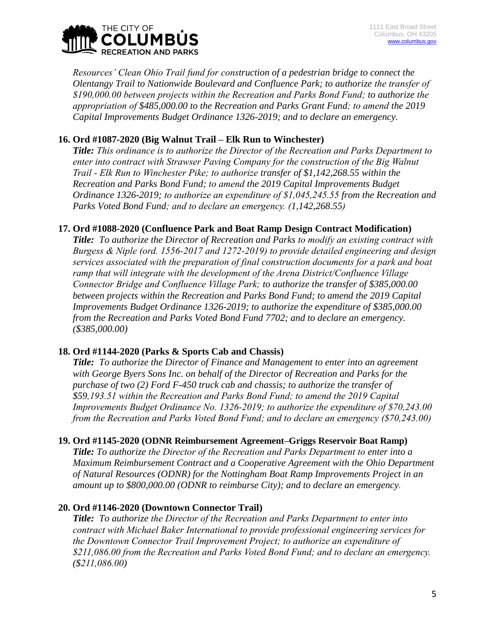

*Resources' Clean Ohio Trail fund for construction of a pedestrian bridge to connect the Olentangy Trail to Nationwide Boulevard and Confluence Park; to authorize the transfer of \$190,000.00 between projects within the Recreation and Parks Bond Fund; to authorize the appropriation of \$485,000.00 to the Recreation and Parks Grant Fund; to amend the 2019 Capital Improvements Budget Ordinance 1326-2019; and to declare an emergency.*

# **16. Ord #1087-2020 (Big Walnut Trail – Elk Run to Winchester)**

*Title: This ordinance is to authorize the Director of the Recreation and Parks Department to enter into contract with Strawser Paving Company for the construction of the Big Walnut Trail - Elk Run to Winchester Pike; to authorize transfer of \$1,142,268.55 within the Recreation and Parks Bond Fund; to amend the 2019 Capital Improvements Budget Ordinance 1326-2019; to authorize an expenditure of \$1,045,245.55 from the Recreation and Parks Voted Bond Fund; and to declare an emergency. (1,142,268.55)*

## **17. Ord #1088-2020 (Confluence Park and Boat Ramp Design Contract Modification)**

*Title: To authorize the Director of Recreation and Parks to modify an existing contract with Burgess & Niple (ord. 1556-2017 and 1272-2019) to provide detailed engineering and design services associated with the preparation of final construction documents for a park and boat ramp that will integrate with the development of the Arena District/Confluence Village Connector Bridge and Confluence Village Park; to authorize the transfer of \$385,000.00 between projects within the Recreation and Parks Bond Fund; to amend the 2019 Capital Improvements Budget Ordinance 1326-2019; to authorize the expenditure of \$385,000.00 from the Recreation and Parks Voted Bond Fund 7702; and to declare an emergency. (\$385,000.00)*

# **18. Ord #1144-2020 (Parks & Sports Cab and Chassis)**

*Title: To authorize the Director of Finance and Management to enter into an agreement with George Byers Sons Inc. on behalf of the Director of Recreation and Parks for the purchase of two (2) Ford F-450 truck cab and chassis; to authorize the transfer of \$59,193.51 within the Recreation and Parks Bond Fund; to amend the 2019 Capital Improvements Budget Ordinance No. 1326-2019; to authorize the expenditure of \$70,243.00 from the Recreation and Parks Voted Bond Fund; and to declare an emergency (\$70,243.00)*

## **19. Ord #1145-2020 (ODNR Reimbursement Agreement–Griggs Reservoir Boat Ramp)**

*Title: To authorize the Director of the Recreation and Parks Department to enter into a Maximum Reimbursement Contract and a Cooperative Agreement with the Ohio Department of Natural Resources (ODNR) for the Nottingham Boat Ramp Improvements Project in an amount up to \$800,000.00 (ODNR to reimburse City); and to declare an emergency.*

# **20. Ord #1146-2020 (Downtown Connector Trail)**

*Title: To authorize the Director of the Recreation and Parks Department to enter into contract with Michael Baker International to provide professional engineering services for the Downtown Connector Trail Improvement Project; to authorize an expenditure of \$211,086.00 from the Recreation and Parks Voted Bond Fund; and to declare an emergency. (\$211,086.00)*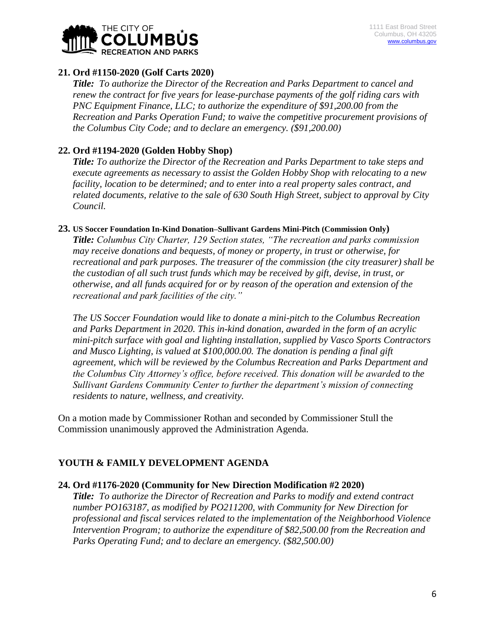

## **21. Ord #1150-2020 (Golf Carts 2020)**

*Title: To authorize the Director of the Recreation and Parks Department to cancel and renew the contract for five years for lease-purchase payments of the golf riding cars with PNC Equipment Finance, LLC; to authorize the expenditure of \$91,200.00 from the Recreation and Parks Operation Fund; to waive the competitive procurement provisions of the Columbus City Code; and to declare an emergency. (\$91,200.00)*

## **22. Ord #1194-2020 (Golden Hobby Shop)**

*Title: To authorize the Director of the Recreation and Parks Department to take steps and execute agreements as necessary to assist the Golden Hobby Shop with relocating to a new facility, location to be determined; and to enter into a real property sales contract, and related documents, relative to the sale of 630 South High Street, subject to approval by City Council.*

#### **23. US Soccer Foundation In-Kind Donation–Sullivant Gardens Mini-Pitch (Commission Only)**

*Title: Columbus City Charter, 129 Section states, "The recreation and parks commission may receive donations and bequests, of money or property, in trust or otherwise, for recreational and park purposes. The treasurer of the commission (the city treasurer) shall be the custodian of all such trust funds which may be received by gift, devise, in trust, or otherwise, and all funds acquired for or by reason of the operation and extension of the recreational and park facilities of the city."*

*The US Soccer Foundation would like to donate a mini-pitch to the Columbus Recreation and Parks Department in 2020. This in-kind donation, awarded in the form of an acrylic mini-pitch surface with goal and lighting installation, supplied by Vasco Sports Contractors and Musco Lighting, is valued at \$100,000.00. The donation is pending a final gift agreement, which will be reviewed by the Columbus Recreation and Parks Department and the Columbus City Attorney's office, before received. This donation will be awarded to the Sullivant Gardens Community Center to further the department's mission of connecting residents to nature, wellness, and creativity.*

On a motion made by Commissioner Rothan and seconded by Commissioner Stull the Commission unanimously approved the Administration Agenda.

# **YOUTH & FAMILY DEVELOPMENT AGENDA**

## **24. Ord #1176-2020 (Community for New Direction Modification #2 2020)**

*Title: To authorize the Director of Recreation and Parks to modify and extend contract number PO163187, as modified by PO211200, with Community for New Direction for professional and fiscal services related to the implementation of the Neighborhood Violence Intervention Program; to authorize the expenditure of \$82,500.00 from the Recreation and Parks Operating Fund; and to declare an emergency. (\$82,500.00)*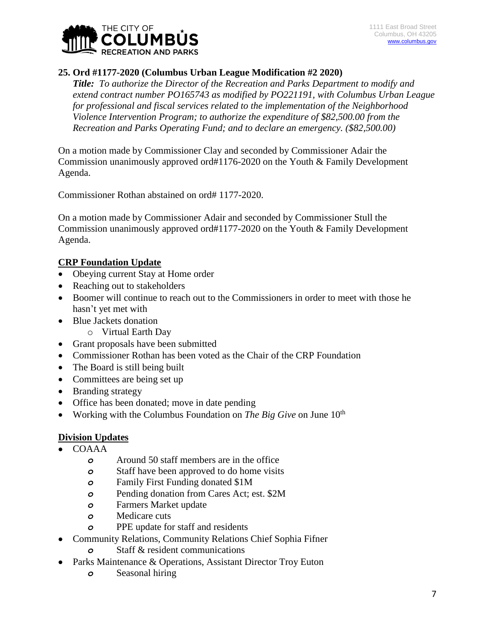

# **25. Ord #1177-2020 (Columbus Urban League Modification #2 2020)**

*Title: To authorize the Director of the Recreation and Parks Department to modify and extend contract number PO165743 as modified by PO221191, with Columbus Urban League for professional and fiscal services related to the implementation of the Neighborhood Violence Intervention Program; to authorize the expenditure of \$82,500.00 from the Recreation and Parks Operating Fund; and to declare an emergency. (\$82,500.00)*

On a motion made by Commissioner Clay and seconded by Commissioner Adair the Commission unanimously approved ord#1176-2020 on the Youth & Family Development Agenda.

Commissioner Rothan abstained on ord# 1177-2020.

On a motion made by Commissioner Adair and seconded by Commissioner Stull the Commission unanimously approved ord#1177-2020 on the Youth & Family Development Agenda.

# **CRP Foundation Update**

- Obeying current Stay at Home order
- Reaching out to stakeholders
- Boomer will continue to reach out to the Commissioners in order to meet with those he hasn't yet met with
- Blue Jackets donation
	- o Virtual Earth Day
- Grant proposals have been submitted
- Commissioner Rothan has been voted as the Chair of the CRP Foundation
- The Board is still being built
- Committees are being set up
- Branding strategy
- Office has been donated; move in date pending
- Working with the Columbus Foundation on *The Big Give* on June 10<sup>th</sup>

# **Division Updates**

- COAAA
	- *o* Around 50 staff members are in the office
	- *o* Staff have been approved to do home visits
	- *o* Family First Funding donated \$1M
	- *o* Pending donation from Cares Act; est. \$2M
	- *o* Farmers Market update
	- *o* Medicare cuts
	- *o* PPE update for staff and residents
- Community Relations, Community Relations Chief Sophia Fifner
	- *o* Staff & resident communications
- Parks Maintenance & Operations, Assistant Director Troy Euton
	- *o* Seasonal hiring